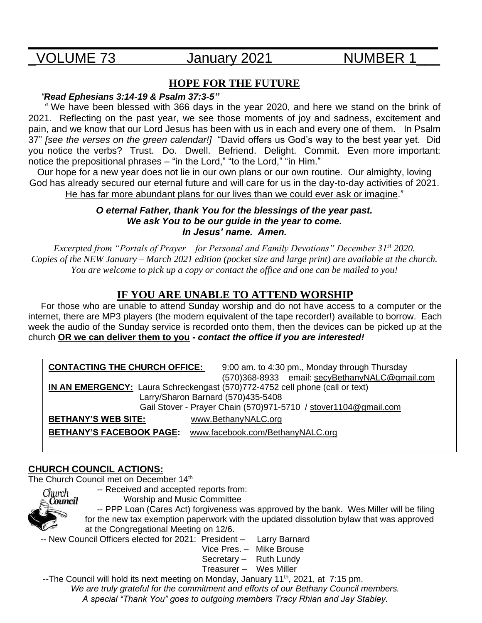# **\_\_\_\_\_\_\_\_\_\_\_\_\_\_\_\_\_\_\_\_\_\_\_\_\_\_\_\_\_\_\_\_\_\_\_\_\_\_\_\_\_\_\_\_\_\_\_\_\_\_\_\_** \_VOLUME 73 January 2021 NUMBER 1\_\_\_

## **HOPE FOR THE FUTURE**

#### *"Read Ephesians 3:14-19 & Psalm 37:3-5"*

 *"* We have been blessed with 366 days in the year 2020, and here we stand on the brink of 2021. Reflecting on the past year, we see those moments of joy and sadness, excitement and pain, and we know that our Lord Jesus has been with us in each and every one of them. In Psalm 37" *[see the verses on the green calendar!]* "David offers us God's way to the best year yet. Did you notice the verbs? Trust. Do. Dwell. Befriend. Delight. Commit. Even more important: notice the prepositional phrases – "in the Lord," "to the Lord," "in Him."

Our hope for a new year does not lie in our own plans or our own routine. Our almighty, loving God has already secured our eternal future and will care for us in the day-to-day activities of 2021. He has far more abundant plans for our lives than we could ever ask or imagine."

#### *O eternal Father, thank You for the blessings of the year past. We ask You to be our guide in the year to come. In Jesus' name. Amen.*

*Excerpted from "Portals of Prayer – for Personal and Family Devotions" December 31st 2020. Copies of the NEW January – March 2021 edition (pocket size and large print) are available at the church. You are welcome to pick up a copy or contact the office and one can be mailed to you!* 

## **IF YOU ARE UNABLE TO ATTEND WORSHIP**

 For those who are unable to attend Sunday worship and do not have access to a computer or the internet, there are MP3 players (the modern equivalent of the tape recorder!) available to borrow. Each week the audio of the Sunday service is recorded onto them, then the devices can be picked up at the church **OR we can deliver them to you -** *contact the office if you are interested!*

| <b>CONTACTING THE CHURCH OFFICE:</b>                                         | 9:00 am. to 4:30 pm., Monday through Thursday  |  |
|------------------------------------------------------------------------------|------------------------------------------------|--|
|                                                                              | (570)368-8933 email: secyBethanyNALC@gmail.com |  |
| IN AN EMERGENCY: Laura Schreckengast (570)772-4752 cell phone (call or text) |                                                |  |
| Larry/Sharon Barnard (570)435-5408                                           |                                                |  |
| Gail Stover - Prayer Chain (570)971-5710 / stover1104@gmail.com              |                                                |  |
| www.BethanyNALC.org<br><b>BETHANY'S WEB SITE:</b>                            |                                                |  |
| <b>BETHANY'S FACEBOOK PAGE:</b><br>www.facebook.com/BethanyNALC.org          |                                                |  |

## **CHURCH COUNCIL ACTIONS:**

The Church Council met on December 14<sup>th</sup>



 -- Received and accepted reports from: Worship and Music Committee

 -- PPP Loan (Cares Act) forgiveness was approved by the bank. Wes Miller will be filing for the new tax exemption paperwork with the updated dissolution bylaw that was approved at the Congregational Meeting on 12/6.

-- New Council Officers elected for 2021: President – Larry Barnard

Vice Pres. – Mike Brouse

- Secretary Ruth Lundy
- Treasurer Wes Miller

--The Council will hold its next meeting on Monday, January 11<sup>th</sup>, 2021, at 7:15 pm. *We are truly grateful for the commitment and efforts of our Bethany Council members.*

*A special "Thank You" goes to outgoing members Tracy Rhian and Jay Stabley.*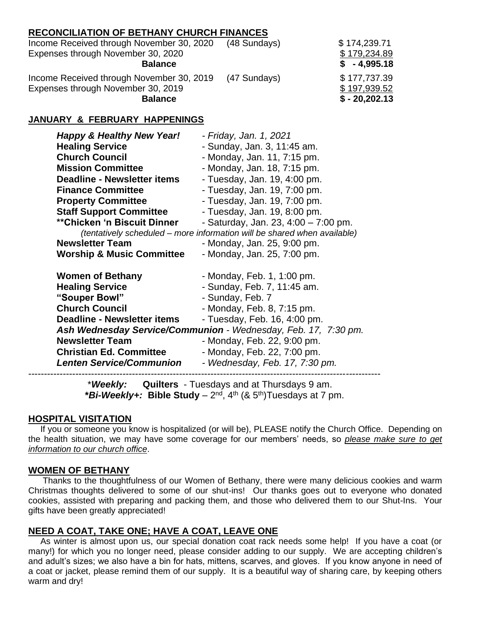#### **RECONCILIATION OF BETHANY CHURCH FINANCES**

| Income Received through November 30, 2020 | (48 Sundays) | \$174,239.71   |
|-------------------------------------------|--------------|----------------|
| Expenses through November 30, 2020        |              | \$179,234.89   |
| <b>Balance</b>                            |              | $$ -4.995.18$  |
| Income Received through November 30, 2019 | (47 Sundays) | \$177,737.39   |
| Expenses through November 30, 2019        |              | \$197,939.52   |
| <b>Balance</b>                            |              | $$ -20,202.13$ |

#### **JANUARY & FEBRUARY HAPPENINGS**

| <b>Happy &amp; Healthy New Year!</b> | - Friday, Jan. 1, 2021                                                   |  |  |
|--------------------------------------|--------------------------------------------------------------------------|--|--|
| <b>Healing Service</b>               | - Sunday, Jan. 3, 11:45 am.                                              |  |  |
| <b>Church Council</b>                | - Monday, Jan. 11, 7:15 pm.                                              |  |  |
| <b>Mission Committee</b>             | - Monday, Jan. 18, 7:15 pm.                                              |  |  |
| <b>Deadline - Newsletter items</b>   | - Tuesday, Jan. 19, 4:00 pm.                                             |  |  |
| <b>Finance Committee</b>             | - Tuesday, Jan. 19, 7:00 pm.                                             |  |  |
| <b>Property Committee</b>            | - Tuesday, Jan. 19, 7:00 pm.                                             |  |  |
| <b>Staff Support Committee</b>       | - Tuesday, Jan. 19, 8:00 pm.                                             |  |  |
| <b>**Chicken 'n Biscuit Dinner</b>   | - Saturday, Jan. 23, $4:00 - 7:00$ pm.                                   |  |  |
|                                      | (tentatively scheduled – more information will be shared when available) |  |  |
| <b>Newsletter Team</b>               | - Monday, Jan. 25, 9:00 pm.                                              |  |  |
| <b>Worship &amp; Music Committee</b> | - Monday, Jan. 25, 7:00 pm.                                              |  |  |
| <b>Women of Bethany</b>              | - Monday, Feb. 1, 1:00 pm.                                               |  |  |
| <b>Healing Service</b>               | - Sunday, Feb. 7, 11:45 am.                                              |  |  |
| "Souper Bowl"                        | - Sunday, Feb. 7                                                         |  |  |
| <b>Church Council</b>                | - Monday, Feb. 8, 7:15 pm.                                               |  |  |
| Deadline - Newsletter items          | - Tuesday, Feb. 16, 4:00 pm.                                             |  |  |
|                                      | Ash Wednesday Service/Communion - Wednesday, Feb. 17, 7:30 pm.           |  |  |
| <b>Newsletter Team</b>               | - Monday, Feb. 22, 9:00 pm.                                              |  |  |
| <b>Christian Ed. Committee</b>       | - Monday, Feb. 22, 7:00 pm.                                              |  |  |
| <b>Lenten Service/Communion</b>      | - Wednesday, Feb. 17, 7:30 pm.                                           |  |  |
|                                      |                                                                          |  |  |

 \**Weekly:* **Quilters** - Tuesdays and at Thursdays 9 am. **\****Bi-Weekly+:* **Bible Study** – 2 nd, 4th (& 5th)Tuesdays at 7 pm.

#### **HOSPITAL VISITATION**

 If you or someone you know is hospitalized (or will be), PLEASE notify the Church Office. Depending on the health situation, we may have some coverage for our members' needs, so *please make sure to get information to our church office*.

#### **WOMEN OF BETHANY**

 Thanks to the thoughtfulness of our Women of Bethany, there were many delicious cookies and warm Christmas thoughts delivered to some of our shut-ins! Our thanks goes out to everyone who donated cookies, assisted with preparing and packing them, and those who delivered them to our Shut-Ins. Your gifts have been greatly appreciated!

#### **NEED A COAT, TAKE ONE; HAVE A COAT, LEAVE ONE**

 As winter is almost upon us, our special donation coat rack needs some help! If you have a coat (or many!) for which you no longer need, please consider adding to our supply. We are accepting children's and adult's sizes; we also have a bin for hats, mittens, scarves, and gloves. If you know anyone in need of a coat or jacket, please remind them of our supply. It is a beautiful way of sharing care, by keeping others warm and dry!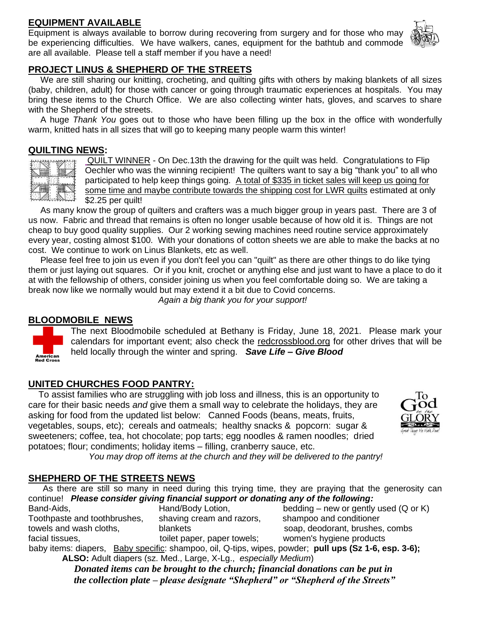### **EQUIPMENT AVAILABLE**

Equipment is always available to borrow during recovering from surgery and for those who may be experiencing difficulties. We have walkers, canes, equipment for the bathtub and commode are all available. Please tell a staff member if you have a need!



#### **PROJECT LINUS & SHEPHERD OF THE STREETS**

 We are still sharing our knitting, crocheting, and quilting gifts with others by making blankets of all sizes (baby, children, adult) for those with cancer or going through traumatic experiences at hospitals. You may bring these items to the Church Office. We are also collecting winter hats, gloves, and scarves to share with the Shepherd of the streets.

 A huge *Thank You* goes out to those who have been filling up the box in the office with wonderfully warm, knitted hats in all sizes that will go to keeping many people warm this winter!

#### **QUILTING NEWS:**



American<br>Red Cross

QUILT WINNER - On Dec.13th the drawing for the quilt was held. Congratulations to Flip Oechler who was the winning recipient! The quilters want to say a big "thank you" to all who participated to help keep things going. A total of \$335 in ticket sales will keep us going for some time and maybe contribute towards the shipping cost for LWR quilts estimated at only \$2.25 per quilt!

 As many know the group of quilters and crafters was a much bigger group in years past. There are 3 of us now. Fabric and thread that remains is often no longer usable because of how old it is. Things are not cheap to buy good quality supplies. Our 2 working sewing machines need routine service approximately every year, costing almost \$100. With your donations of cotton sheets we are able to make the backs at no cost. We continue to work on Linus Blankets, etc as well.

 Please feel free to join us even if you don't feel you can "quilt" as there are other things to do like tying them or just laying out squares. Or if you knit, crochet or anything else and just want to have a place to do it at with the fellowship of others, consider joining us when you feel comfortable doing so. We are taking a break now like we normally would but may extend it a bit due to Covid concerns.

 *Again a big thank you for your support!*

#### **BLOODMOBILE NEWS**

The next Bloodmobile scheduled at Bethany is Friday, June 18, 2021. Please mark your calendars for important event; also check the redcrossblood.org for other drives that will be held locally through the winter and spring. *Save Life – Give Blood*

#### **UNITED CHURCHES FOOD PANTRY:**

 To assist families who are struggling with job loss and illness, this is an opportunity to care for their basic needs *and* give them a small way to celebrate the holidays, they are asking for food from the updated list below: Canned Foods (beans, meats, fruits, vegetables, soups, etc); cereals and oatmeals; healthy snacks & popcorn: sugar & sweeteners; coffee, tea, hot chocolate; pop tarts; egg noodles & ramen noodles; dried potatoes; flour; condiments; holiday items – filling, cranberry sauce, etc.



*You may drop off items at the church and they will be delivered to the pantry!*

#### **SHEPHERD OF THE STREETS NEWS**

 As there are still so many in need during this trying time, they are praying that the generosity can continue! *Please consider giving financial support or donating any of the following:*

Band-Aids, **Hand/Body Lotion,** bedding – new or gently used (Q or K) Toothpaste and toothbrushes, shaving cream and razors, shampoo and conditioner towels and wash cloths, blankets blankets soap, deodorant, brushes, combs facial tissues, to toilet paper, paper towels; women's hygiene products

baby items: diapers, Baby specific: shampoo, oil, Q-tips, wipes, powder; **pull ups (Sz 1-6, esp. 3-6); ALSO:** Adult diapers (sz. Med., Large, X-Lg., *especially Medium*)

> *Donated items can be brought to the church; financial donations can be put in the collection plate – please designate "Shepherd" or "Shepherd of the Streets"*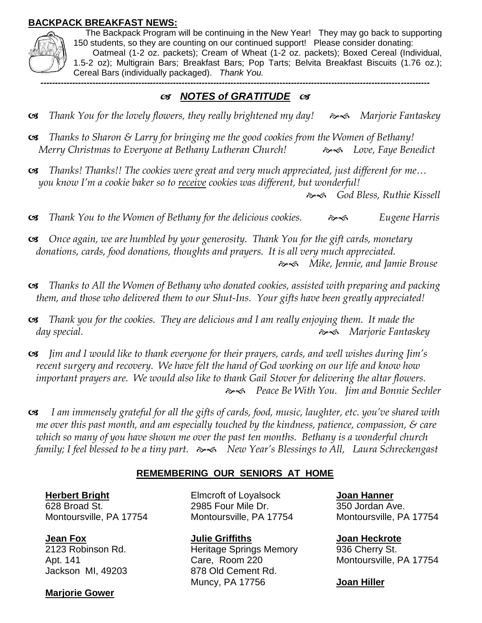### **BACKPACK BREAKFAST NEWS:**



 The Backpack Program will be continuing in the New Year! They may go back to supporting 150 students, so they are counting on our continued support! Please consider donating: Oatmeal (1-2 oz. packets); Cream of Wheat (1-2 oz. packets); Boxed Cereal (Individual, 1.5-2 oz); Multigrain Bars; Breakfast Bars; Pop Tarts; Belvita Breakfast Biscuits (1.76 oz.); Cereal Bars (individually packaged). *Thank You.*

*---------------------------------------------------------------------------------------------------------------------------------------*

## *NOTES of GRATITUDE*

- **S** Thank You for the lovely flowers, they really brightened my day!  $\rightarrow \rightarrow \rightarrow \rightarrow$  Marjorie Fantaskey
- *Thanks to Sharon & Larry for bringing me the good cookies from the Women of Bethany! Merry Christmas to Everyone at Bethany Lutheran Church! Love, Faye Benedict*
- *Thanks! Thanks!! The cookies were great and very much appreciated, just different for me… you know I'm a cookie baker so to receive cookies was different, but wonderful!*

*God Bless, Ruthie Kissell*

- *Thank You to the Women of Bethany for the delicious cookies. Eugene Harris*
- *Once again, we are humbled by your generosity. Thank You for the gift cards, monetary donations, cards, food donations, thoughts and prayers. It is all very much appreciated. Mike, Jennie, and Jamie Brouse*
- *Thanks to All the Women of Bethany who donated cookies, assisted with preparing and packing them, and those who delivered them to our Shut-Ins. Your gifts have been greatly appreciated!*
- *Thank you for the cookies. They are delicious and I am really enjoying them. It made the day special. Marjorie Fantaskey*
- *Jim and I would like to thank everyone for their prayers, cards, and well wishes during Jim's recent surgery and recovery. We have felt the hand of God working on our life and know how important prayers are. We would also like to thank Gail Stover for delivering the altar flowers. Peace Be With You. Jim and Bonnie Sechler*
- *I am immensely grateful for all the gifts of cards, food, music, laughter, etc. you've shared with me over this past month, and am especially touched by the kindness, patience, compassion, & care which so many of you have shown me over the past ten months. Bethany is a wonderful church family; I feel blessed to be a tiny part. New Year's Blessings to All, Laura Schreckengast*

## **REMEMBERING OUR SENIORS AT HOME**

**Herbert Bright**  628 Broad St. Montoursville, PA 17754

**Jean Fox** 

2123 Robinson Rd. Apt. 141 Jackson MI, 49203

#### **Marjorie Gower**

Elmcroft of Loyalsock 2985 Four Mile Dr. Montoursville, PA 17754

**Julie Griffiths**  Heritage Springs Memory Care, Room 220 878 Old Cement Rd. Muncy, PA 17756

**Joan Hanner** 350 Jordan Ave. Montoursville, PA 17754

**Joan Heckrote** 936 Cherry St. Montoursville, PA 17754

#### **Joan Hiller**